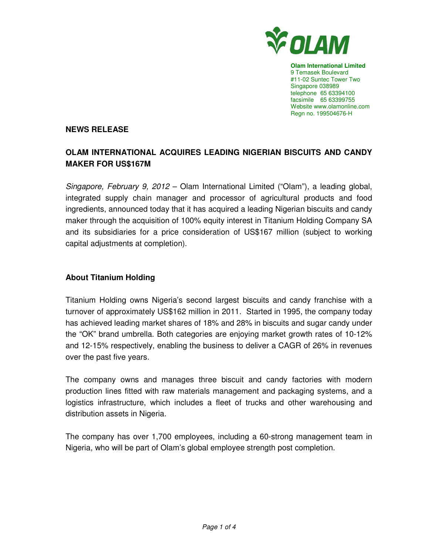

**Olam International Limited**  9 Temasek Boulevard #11-02 Suntec Tower Two Singapore 038989 telephone 65 63394100 facsimile 65 63399755 Website www.olamonline.com Regn no. 199504676-H

#### **NEWS RELEASE**

# **OLAM INTERNATIONAL ACQUIRES LEADING NIGERIAN BISCUITS AND CANDY MAKER FOR US\$167M**

Singapore, February 9, 2012 – Olam International Limited ("Olam"), a leading global, integrated supply chain manager and processor of agricultural products and food ingredients, announced today that it has acquired a leading Nigerian biscuits and candy maker through the acquisition of 100% equity interest in Titanium Holding Company SA and its subsidiaries for a price consideration of US\$167 million (subject to working capital adjustments at completion).

### **About Titanium Holding**

Titanium Holding owns Nigeria's second largest biscuits and candy franchise with a turnover of approximately US\$162 million in 2011. Started in 1995, the company today has achieved leading market shares of 18% and 28% in biscuits and sugar candy under the "OK" brand umbrella. Both categories are enjoying market growth rates of 10-12% and 12-15% respectively, enabling the business to deliver a CAGR of 26% in revenues over the past five years.

The company owns and manages three biscuit and candy factories with modern production lines fitted with raw materials management and packaging systems, and a logistics infrastructure, which includes a fleet of trucks and other warehousing and distribution assets in Nigeria.

The company has over 1,700 employees, including a 60-strong management team in Nigeria, who will be part of Olam's global employee strength post completion.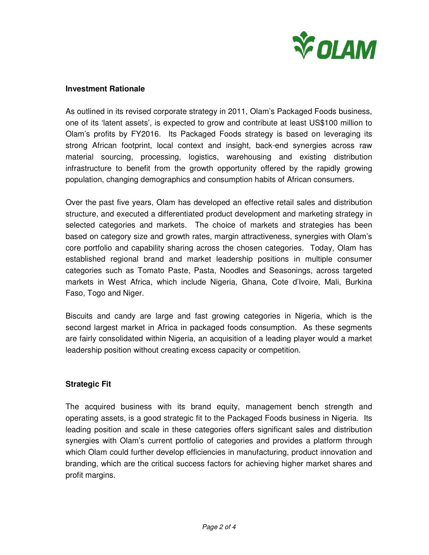

#### **Investment Rationale**

As outlined in its revised corporate strategy in 2011, Olam's Packaged Foods business, one of its 'latent assets', is expected to grow and contribute at least US\$100 million to Olam's profits by FY2016. Its Packaged Foods strategy is based on leveraging its strong African footprint, local context and insight, back-end synergies across raw material sourcing, processing, logistics, warehousing and existing distribution infrastructure to benefit from the growth opportunity offered by the rapidly growing population, changing demographics and consumption habits of African consumers.

Over the past five years, Olam has developed an effective retail sales and distribution structure, and executed a differentiated product development and marketing strategy in selected categories and markets. The choice of markets and strategies has been based on category size and growth rates, margin attractiveness, synergies with Olam's core portfolio and capability sharing across the chosen categories. Today, Olam has established regional brand and market leadership positions in multiple consumer categories such as Tomato Paste, Pasta, Noodles and Seasonings, across targeted markets in West Africa, which include Nigeria, Ghana, Cote d'Ivoire, Mali, Burkina Faso, Togo and Niger.

Biscuits and candy are large and fast growing categories in Nigeria, which is the second largest market in Africa in packaged foods consumption. As these segments are fairly consolidated within Nigeria, an acquisition of a leading player would a market leadership position without creating excess capacity or competition.

# **Strategic Fit**

The acquired business with its brand equity, management bench strength and operating assets, is a good strategic fit to the Packaged Foods business in Nigeria. Its leading position and scale in these categories offers significant sales and distribution synergies with Olam's current portfolio of categories and provides a platform through which Olam could further develop efficiencies in manufacturing, product innovation and branding, which are the critical success factors for achieving higher market shares and profit margins.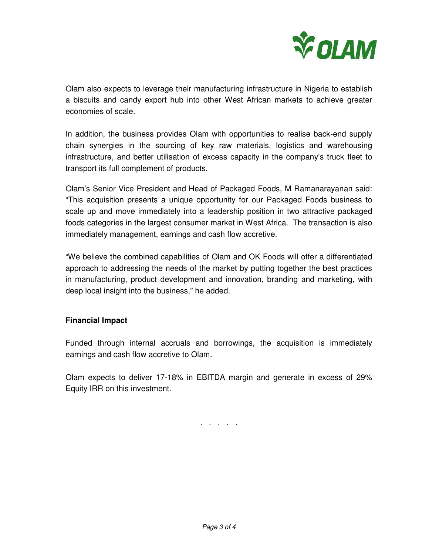

Olam also expects to leverage their manufacturing infrastructure in Nigeria to establish a biscuits and candy export hub into other West African markets to achieve greater economies of scale.

In addition, the business provides Olam with opportunities to realise back-end supply chain synergies in the sourcing of key raw materials, logistics and warehousing infrastructure, and better utilisation of excess capacity in the company's truck fleet to transport its full complement of products.

Olam's Senior Vice President and Head of Packaged Foods, M Ramanarayanan said: "This acquisition presents a unique opportunity for our Packaged Foods business to scale up and move immediately into a leadership position in two attractive packaged foods categories in the largest consumer market in West Africa. The transaction is also immediately management, earnings and cash flow accretive.

"We believe the combined capabilities of Olam and OK Foods will offer a differentiated approach to addressing the needs of the market by putting together the best practices in manufacturing, product development and innovation, branding and marketing, with deep local insight into the business," he added.

# **Financial Impact**

Funded through internal accruals and borrowings, the acquisition is immediately earnings and cash flow accretive to Olam.

Olam expects to deliver 17-18% in EBITDA margin and generate in excess of 29% Equity IRR on this investment.

. . . . .